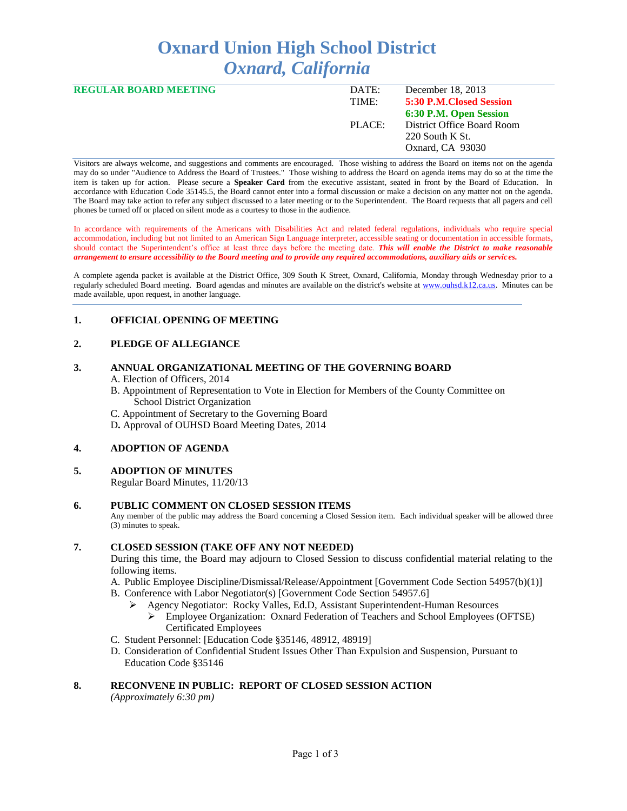# **Oxnard Union High School District** *Oxnard, California*

| <b>REGULAR BOARD MEETING</b> | DATE:  | December 18, 2013          |
|------------------------------|--------|----------------------------|
|                              | TIME:  | 5:30 P.M. Closed Session   |
|                              |        | 6:30 P.M. Open Session     |
|                              | PLACE: | District Office Board Room |
|                              |        | 220 South K St.            |
|                              |        | Oxnard, CA 93030           |
|                              |        |                            |

Visitors are always welcome, and suggestions and comments are encouraged. Those wishing to address the Board on items not on the agenda may do so under "Audience to Address the Board of Trustees." Those wishing to address the Board on agenda items may do so at the time the item is taken up for action. Please secure a **Speaker Card** from the executive assistant, seated in front by the Board of Education. In accordance with Education Code 35145.5, the Board cannot enter into a formal discussion or make a decision on any matter not on the agenda. The Board may take action to refer any subject discussed to a later meeting or to the Superintendent. The Board requests that all pagers and cell phones be turned off or placed on silent mode as a courtesy to those in the audience.

In accordance with requirements of the Americans with Disabilities Act and related federal regulations, individuals who require special accommodation, including but not limited to an American Sign Language interpreter, accessible seating or documentation in accessible formats, should contact the Superintendent's office at least three days before the meeting date. *This will enable the District to make reasonable arrangement to ensure accessibility to the Board meeting and to provide any required accommodations, auxiliary aids or services.* 

A complete agenda packet is available at the District Office, 309 South K Street, Oxnard, California, Monday through Wednesday prior to a regularly scheduled Board meeting. Board agendas and minutes are available on the district's website at [www.ouhsd.k12.ca.us.](http://www.ouhsd.k12.ca.us/)Minutes can be made available, upon request, in another language.

#### **1. OFFICIAL OPENING OF MEETING**

## **2. PLEDGE OF ALLEGIANCE**

#### **3. ANNUAL ORGANIZATIONAL MEETING OF THE GOVERNING BOARD**

- A. Election of Officers, 2014
- B. Appointment of Representation to Vote in Election for Members of the County Committee on School District Organization
- C. Appointment of Secretary to the Governing Board
- D**.** Approval of OUHSD Board Meeting Dates, 2014

#### **4. ADOPTION OF AGENDA**

#### **5. ADOPTION OF MINUTES**

Regular Board Minutes, 11/20/13

#### **6. PUBLIC COMMENT ON CLOSED SESSION ITEMS**

Any member of the public may address the Board concerning a Closed Session item. Each individual speaker will be allowed three (3) minutes to speak.

#### **7. CLOSED SESSION (TAKE OFF ANY NOT NEEDED)**

During this time, the Board may adjourn to Closed Session to discuss confidential material relating to the following items.

A. Public Employee Discipline/Dismissal/Release/Appointment [Government Code Section 54957(b)(1)]

- B. Conference with Labor Negotiator(s) [Government Code Section 54957.6]
	- Agency Negotiator: Rocky Valles, Ed.D, Assistant Superintendent-Human Resources
		- Employee Organization: Oxnard Federation of Teachers and School Employees (OFTSE) Certificated Employees
- C. Student Personnel: [Education Code §35146, 48912, 48919]
- D. Consideration of Confidential Student Issues Other Than Expulsion and Suspension, Pursuant to Education Code §35146

# **8. RECONVENE IN PUBLIC: REPORT OF CLOSED SESSION ACTION**

*(Approximately 6:30 pm)*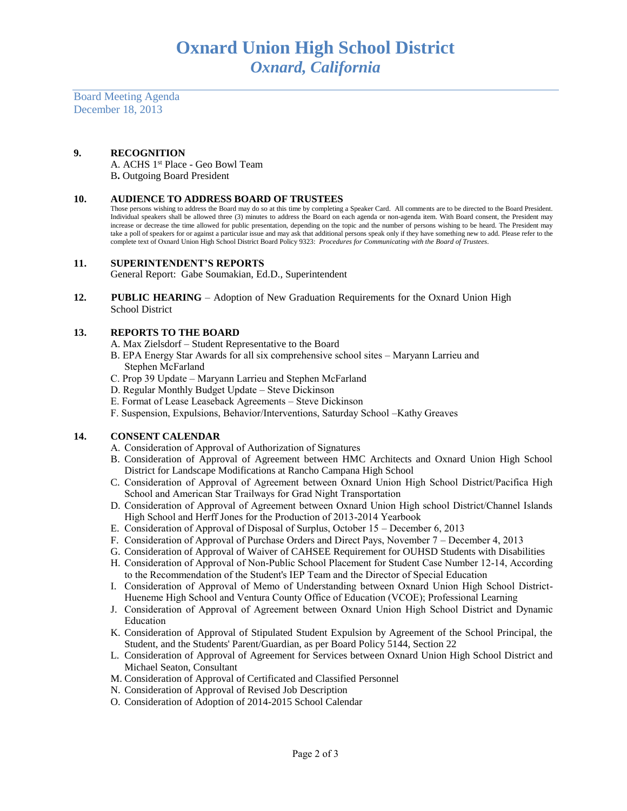Board Meeting Agenda December 18, 2013

## **9. RECOGNITION**

A. ACHS 1st Place - Geo Bowl Team B**.** Outgoing Board President

#### **10. AUDIENCE TO ADDRESS BOARD OF TRUSTEES**

Those persons wishing to address the Board may do so at this time by completing a Speaker Card. All comments are to be directed to the Board President. Individual speakers shall be allowed three (3) minutes to address the Board on each agenda or non-agenda item. With Board consent, the President may increase or decrease the time allowed for public presentation, depending on the topic and the number of persons wishing to be heard. The President may take a poll of speakers for or against a particular issue and may ask that additional persons speak only if they have something new to add. Please refer to the complete text of Oxnard Union High School District Board Policy 9323: *Procedures for Communicating with the Board of Trustees.*

#### **11. SUPERINTENDENT'S REPORTS**

General Report: Gabe Soumakian, Ed.D., Superintendent

**12. PUBLIC HEARING** – Adoption of New Graduation Requirements for the Oxnard Union High School District

#### **13. REPORTS TO THE BOARD**

- A. Max Zielsdorf Student Representative to the Board
- B. EPA Energy Star Awards for all six comprehensive school sites Maryann Larrieu and Stephen McFarland
- C. Prop 39 Update Maryann Larrieu and Stephen McFarland
- D. Regular Monthly Budget Update Steve Dickinson
- E. Format of Lease Leaseback Agreements Steve Dickinson
- F. Suspension, Expulsions, Behavior/Interventions, Saturday School –Kathy Greaves

#### **14. CONSENT CALENDAR**

- A. Consideration of Approval of Authorization of Signatures
- B. Consideration of Approval of Agreement between HMC Architects and Oxnard Union High School District for Landscape Modifications at Rancho Campana High School
- C. Consideration of Approval of Agreement between Oxnard Union High School District/Pacifica High School and American Star Trailways for Grad Night Transportation
- D. Consideration of Approval of Agreement between Oxnard Union High school District/Channel Islands High School and Herff Jones for the Production of 2013-2014 Yearbook
- E. Consideration of Approval of Disposal of Surplus, October 15 December 6, 2013
- F. Consideration of Approval of Purchase Orders and Direct Pays, November 7 December 4, 2013
- G. Consideration of Approval of Waiver of CAHSEE Requirement for OUHSD Students with Disabilities
- H. Consideration of Approval of Non-Public School Placement for Student Case Number 12-14, According to the Recommendation of the Student's IEP Team and the Director of Special Education
- I. Consideration of Approval of Memo of Understanding between Oxnard Union High School District-Hueneme High School and Ventura County Office of Education (VCOE); Professional Learning
- J. Consideration of Approval of Agreement between Oxnard Union High School District and Dynamic Education
- K. Consideration of Approval of Stipulated Student Expulsion by Agreement of the School Principal, the Student, and the Students' Parent/Guardian, as per Board Policy 5144, Section 22
- L. Consideration of Approval of Agreement for Services between Oxnard Union High School District and Michael Seaton, Consultant
- M. Consideration of Approval of Certificated and Classified Personnel
- N. Consideration of Approval of Revised Job Description
- O. Consideration of Adoption of 2014-2015 School Calendar